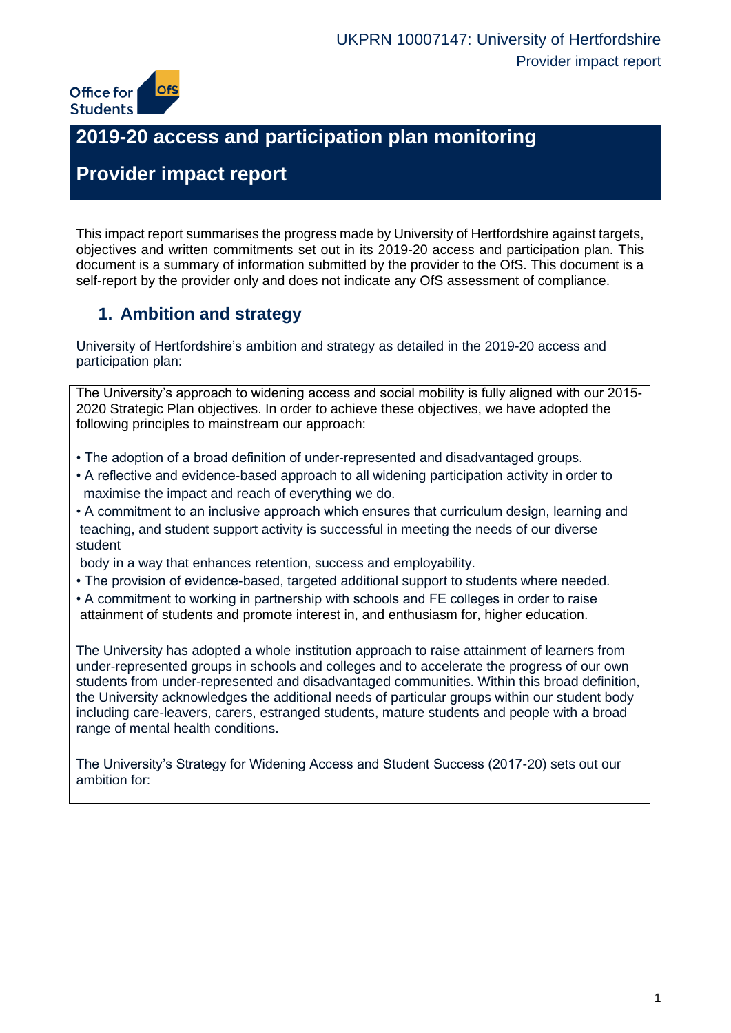

# **2019-20 access and participation plan monitoring**

# **Provider impact report**

This impact report summarises the progress made by University of Hertfordshire against targets, objectives and written commitments set out in its 2019-20 access and participation plan. This document is a summary of information submitted by the provider to the OfS. This document is a self-report by the provider only and does not indicate any OfS assessment of compliance.

# **1. Ambition and strategy**

University of Hertfordshire's ambition and strategy as detailed in the 2019-20 access and participation plan:

The University's approach to widening access and social mobility is fully aligned with our 2015- 2020 Strategic Plan objectives. In order to achieve these objectives, we have adopted the following principles to mainstream our approach:

- The adoption of a broad definition of under-represented and disadvantaged groups.
- A reflective and evidence-based approach to all widening participation activity in order to maximise the impact and reach of everything we do.
- A commitment to an inclusive approach which ensures that curriculum design, learning and teaching, and student support activity is successful in meeting the needs of our diverse student

body in a way that enhances retention, success and employability.

- The provision of evidence-based, targeted additional support to students where needed.
- A commitment to working in partnership with schools and FE colleges in order to raise attainment of students and promote interest in, and enthusiasm for, higher education.

The University has adopted a whole institution approach to raise attainment of learners from under-represented groups in schools and colleges and to accelerate the progress of our own students from under-represented and disadvantaged communities. Within this broad definition, the University acknowledges the additional needs of particular groups within our student body including care-leavers, carers, estranged students, mature students and people with a broad range of mental health conditions.

The University's Strategy for Widening Access and Student Success (2017-20) sets out our ambition for: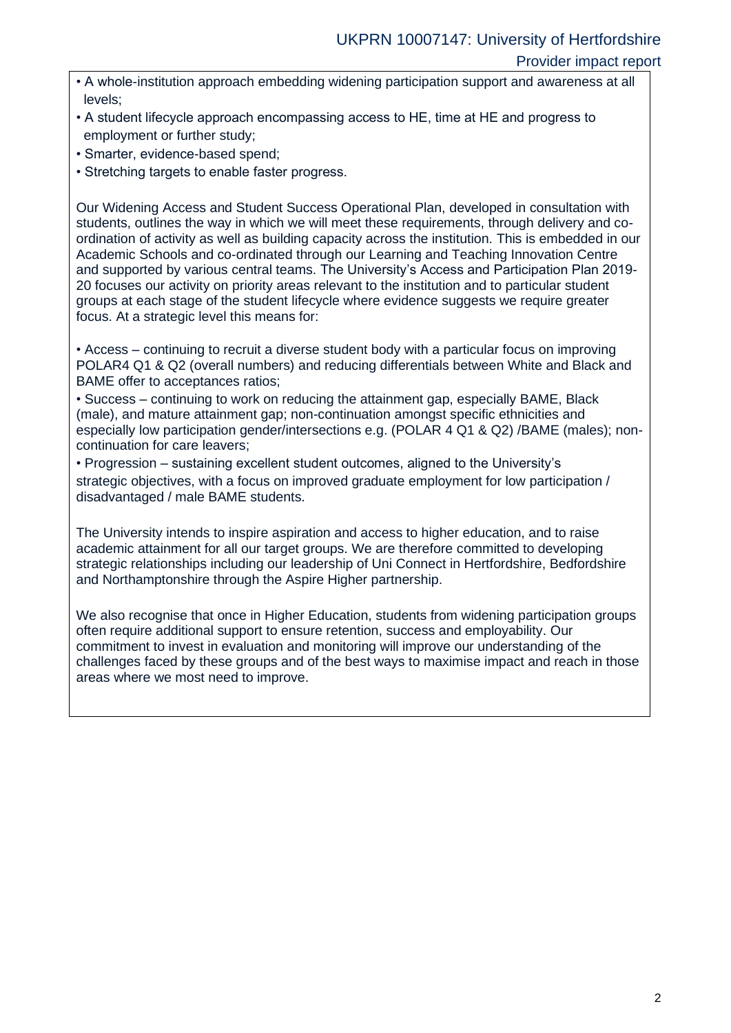- A whole-institution approach embedding widening participation support and awareness at all levels;
- A student lifecycle approach encompassing access to HE, time at HE and progress to employment or further study;
- Smarter, evidence-based spend;
- Stretching targets to enable faster progress.

Our Widening Access and Student Success Operational Plan, developed in consultation with students, outlines the way in which we will meet these requirements, through delivery and coordination of activity as well as building capacity across the institution. This is embedded in our Academic Schools and co-ordinated through our Learning and Teaching Innovation Centre and supported by various central teams. The University's Access and Participation Plan 2019- 20 focuses our activity on priority areas relevant to the institution and to particular student groups at each stage of the student lifecycle where evidence suggests we require greater focus. At a strategic level this means for:

• Access – continuing to recruit a diverse student body with a particular focus on improving POLAR4 Q1 & Q2 (overall numbers) and reducing differentials between White and Black and BAME offer to acceptances ratios;

• Success – continuing to work on reducing the attainment gap, especially BAME, Black (male), and mature attainment gap; non-continuation amongst specific ethnicities and especially low participation gender/intersections e.g. (POLAR 4 Q1 & Q2) /BAME (males); noncontinuation for care leavers;

• Progression – sustaining excellent student outcomes, aligned to the University's strategic objectives, with a focus on improved graduate employment for low participation / disadvantaged / male BAME students.

The University intends to inspire aspiration and access to higher education, and to raise academic attainment for all our target groups. We are therefore committed to developing strategic relationships including our leadership of Uni Connect in Hertfordshire, Bedfordshire and Northamptonshire through the Aspire Higher partnership.

We also recognise that once in Higher Education, students from widening participation groups often require additional support to ensure retention, success and employability. Our commitment to invest in evaluation and monitoring will improve our understanding of the challenges faced by these groups and of the best ways to maximise impact and reach in those areas where we most need to improve.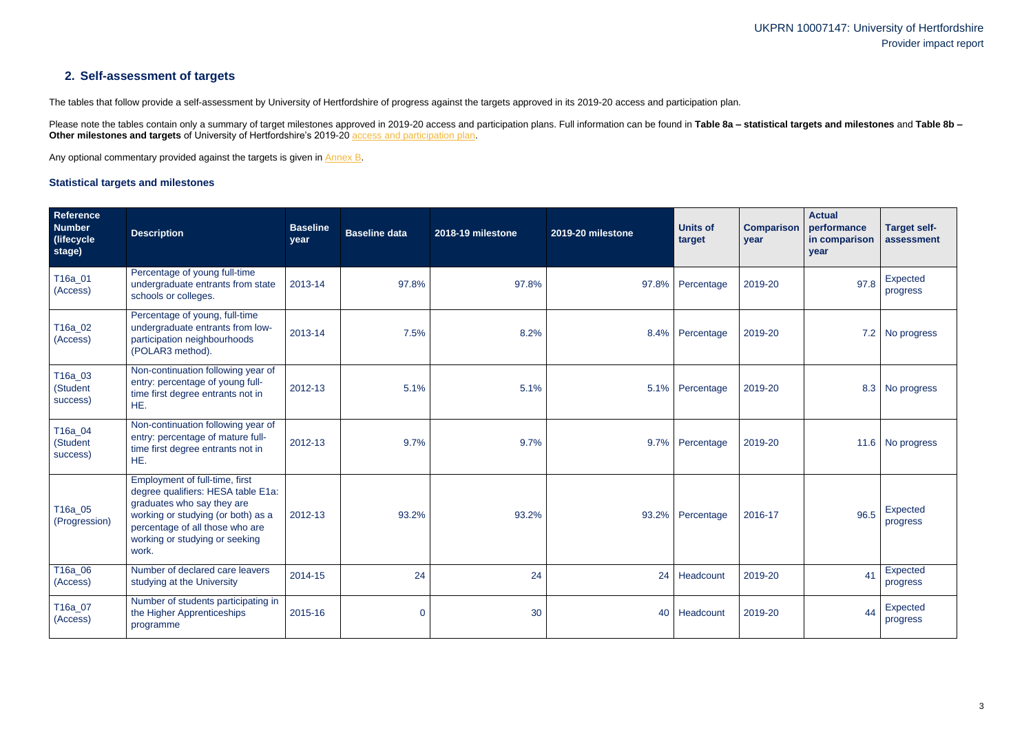## **2. Self-assessment of targets**

The tables that follow provide a self-assessment by University of Hertfordshire of progress against the targets approved in its 2019-20 access and participation plan.

Please note the tables contain only a summary of target milestones approved in 2019-20 access and participation plans. Full information can be found in Table 8a - statistical targets and milestones and Table 8b -**Other milestones and targets** of University of Hertfordshire's 2019-20 [access and participation plan.](https://www.officeforstudents.org.uk/advice-and-guidance/the-register/search-for-access-and-participation-plans/#/AccessPlans/)

Any optional commentary provided against the targets is given in [Annex B.](#page-15-0)

### <span id="page-2-0"></span>**Statistical targets and milestones**

| Reference<br><b>Number</b><br>(lifecycle)<br>stage) | <b>Description</b>                                                                                                                                                                                                     | <b>Baseline</b><br>year | <b>Baseline data</b> | 2018-19 milestone | 2019-20 milestone | <b>Units of</b><br>target | <b>Comparison</b><br>year | <b>Actual</b><br>performance<br>in comparison<br>year | <b>Target self-</b><br>assessment |
|-----------------------------------------------------|------------------------------------------------------------------------------------------------------------------------------------------------------------------------------------------------------------------------|-------------------------|----------------------|-------------------|-------------------|---------------------------|---------------------------|-------------------------------------------------------|-----------------------------------|
| T16a_01<br>(Access)                                 | Percentage of young full-time<br>undergraduate entrants from state<br>schools or colleges.                                                                                                                             | 2013-14                 | 97.8%                | 97.8%             |                   | 97.8% Percentage          | 2019-20                   | 97.8                                                  | Expected<br>progress              |
| T16a_02<br>(Access)                                 | Percentage of young, full-time<br>undergraduate entrants from low-<br>participation neighbourhoods<br>(POLAR3 method).                                                                                                 | 2013-14                 | 7.5%                 | 8.2%              |                   | 8.4% Percentage           | 2019-20                   |                                                       | 7.2 No progress                   |
| T16a_03<br>(Student<br>success)                     | Non-continuation following year of<br>entry: percentage of young full-<br>time first degree entrants not in<br>HE.                                                                                                     | 2012-13                 | 5.1%                 | 5.1%              |                   | 5.1% Percentage           | 2019-20                   |                                                       | 8.3 No progress                   |
| T16a_04<br>(Student<br>success)                     | Non-continuation following year of<br>entry: percentage of mature full-<br>time first degree entrants not in<br>HE.                                                                                                    | 2012-13                 | 9.7%                 | 9.7%              |                   | 9.7% Percentage           | 2019-20                   |                                                       | 11.6 No progress                  |
| T16a_05<br>(Progression)                            | Employment of full-time, first<br>degree qualifiers: HESA table E1a:<br>graduates who say they are<br>working or studying (or both) as a<br>percentage of all those who are<br>working or studying or seeking<br>work. | 2012-13                 | 93.2%                | 93.2%             |                   | 93.2% Percentage          | 2016-17                   | 96.5                                                  | <b>Expected</b><br>progress       |
| T16a_06<br>(Access)                                 | Number of declared care leavers<br>studying at the University                                                                                                                                                          | 2014-15                 | 24                   | 24                | 24                | Headcount                 | 2019-20                   | 41                                                    | Expected<br>progress              |
| T16a_07<br>(Access)                                 | Number of students participating in<br>the Higher Apprenticeships<br>programme                                                                                                                                         | 2015-16                 | $\overline{0}$       | 30                |                   | 40 Headcount              | 2019-20                   | 44                                                    | Expected<br>progress              |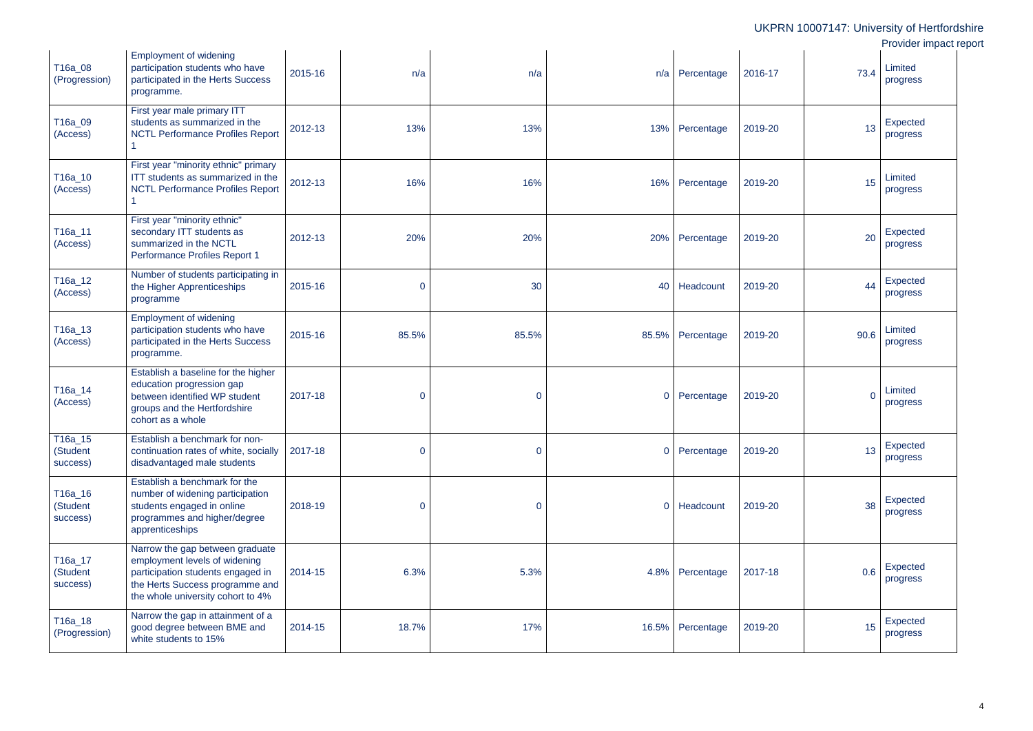|                                 |                                                                                                                                                                               |         |                |             |                |                  |         |          | UKPRN 10007147: University of Hertfordsh   |
|---------------------------------|-------------------------------------------------------------------------------------------------------------------------------------------------------------------------------|---------|----------------|-------------|----------------|------------------|---------|----------|--------------------------------------------|
| T16a_08<br>(Progression)        | <b>Employment of widening</b><br>participation students who have<br>participated in the Herts Success<br>programme.                                                           | 2015-16 | n/a            | n/a         |                | $n/a$ Percentage | 2016-17 | 73.4     | Provider impact rep<br>Limited<br>progress |
| T16a_09<br>(Access)             | First year male primary ITT<br>students as summarized in the<br><b>NCTL Performance Profiles Report</b>                                                                       | 2012-13 | 13%            | 13%         | 13%            | Percentage       | 2019-20 | 13       | Expected<br>progress                       |
| T16a_10<br>(Access)             | First year "minority ethnic" primary<br>ITT students as summarized in the<br><b>NCTL Performance Profiles Report</b>                                                          | 2012-13 | 16%            | 16%         |                | 16% Percentage   | 2019-20 | 15       | Limited<br>progress                        |
| T16a_11<br>(Access)             | First year "minority ethnic"<br>secondary ITT students as<br>summarized in the NCTL<br>Performance Profiles Report 1                                                          | 2012-13 | 20%            | 20%         | 20%            | Percentage       | 2019-20 | 20       | Expected<br>progress                       |
| T16a_12<br>(Access)             | Number of students participating in<br>the Higher Apprenticeships<br>programme                                                                                                | 2015-16 | $\mathbf 0$    | 30          | 40             | Headcount        | 2019-20 | 44       | Expected<br>progress                       |
| T16a_13<br>(Access)             | <b>Employment of widening</b><br>participation students who have<br>participated in the Herts Success<br>programme.                                                           | 2015-16 | 85.5%          | 85.5%       |                | 85.5% Percentage | 2019-20 | 90.6     | Limited<br>progress                        |
| T16a_14<br>(Access)             | Establish a baseline for the higher<br>education progression gap<br>between identified WP student<br>groups and the Hertfordshire<br>cohort as a whole                        | 2017-18 | $\mathbf 0$    | $\mathbf 0$ | $\overline{O}$ | Percentage       | 2019-20 | $\Omega$ | Limited<br>progress                        |
| T16a_15<br>(Student<br>success) | Establish a benchmark for non-<br>continuation rates of white, socially<br>disadvantaged male students                                                                        | 2017-18 | $\overline{0}$ | $\mathbf 0$ | $\overline{O}$ | Percentage       | 2019-20 | 13       | Expected<br>progress                       |
| T16a_16<br>(Student<br>success) | Establish a benchmark for the<br>number of widening participation<br>students engaged in online<br>programmes and higher/degree<br>apprenticeships                            | 2018-19 | $\overline{0}$ | $\mathbf 0$ | $\overline{0}$ | Headcount        | 2019-20 | 38       | Expected<br>progress                       |
| T16a_17<br>(Student<br>success) | Narrow the gap between graduate<br>employment levels of widening<br>participation students engaged in<br>the Herts Success programme and<br>the whole university cohort to 4% | 2014-15 | 6.3%           | 5.3%        |                | 4.8% Percentage  | 2017-18 | 0.6      | Expected<br>progress                       |
| T16a_18<br>(Progression)        | Narrow the gap in attainment of a<br>good degree between BME and<br>white students to 15%                                                                                     | 2014-15 | 18.7%          | 17%         |                | 16.5% Percentage | 2019-20 | 15       | Expected<br>progress                       |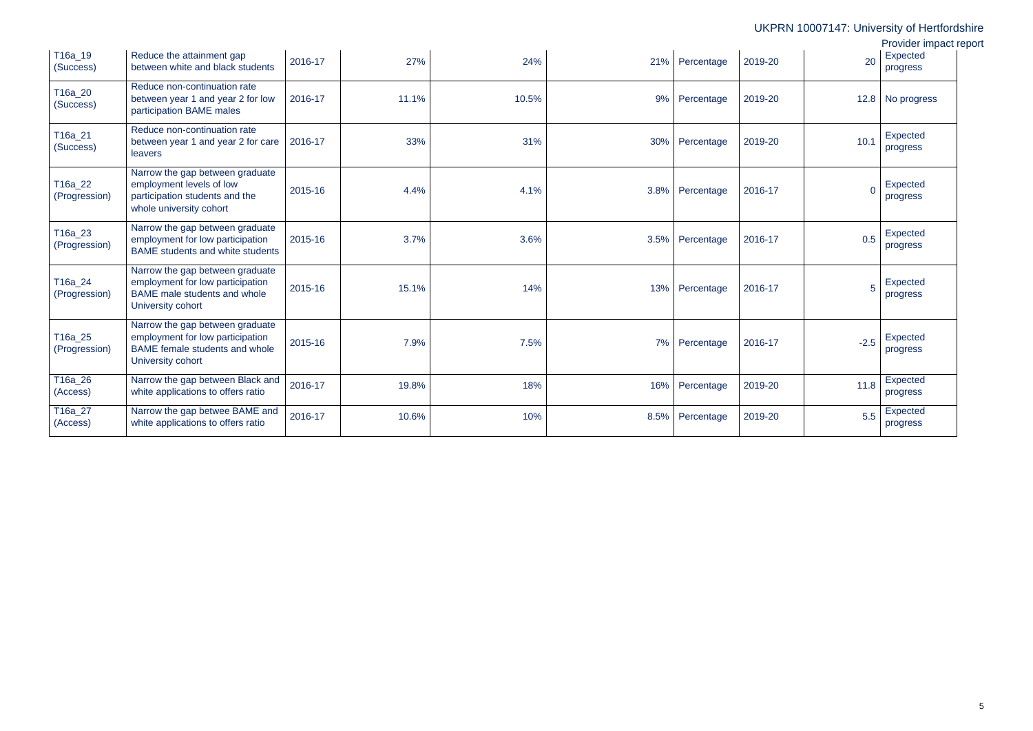|                          |                                                                                                                                 |         |       |       |      |                 |         |          | UKPRN 10007147: University of Hertfordshire |
|--------------------------|---------------------------------------------------------------------------------------------------------------------------------|---------|-------|-------|------|-----------------|---------|----------|---------------------------------------------|
|                          |                                                                                                                                 |         |       |       |      |                 |         |          | Provider impact report                      |
| T16a_19<br>(Success)     | Reduce the attainment gap<br>between white and black students                                                                   | 2016-17 | 27%   | 24%   | 21%  | Percentage      | 2019-20 | 20       | Expected<br>progress                        |
| T16a_20<br>(Success)     | Reduce non-continuation rate<br>between year 1 and year 2 for low<br>participation BAME males                                   | 2016-17 | 11.1% | 10.5% | 9%   | Percentage      | 2019-20 | 12.8     | No progress                                 |
| T16a_21<br>(Success)     | Reduce non-continuation rate<br>between year 1 and year 2 for care<br>leavers                                                   | 2016-17 | 33%   | 31%   | 30%  | Percentage      | 2019-20 | 10.1     | Expected<br>progress                        |
| T16a_22<br>(Progression) | Narrow the gap between graduate<br>employment levels of low<br>participation students and the<br>whole university cohort        | 2015-16 | 4.4%  | 4.1%  |      | 3.8% Percentage | 2016-17 | $\Omega$ | Expected<br>progress                        |
| T16a_23<br>(Progression) | Narrow the gap between graduate<br>employment for low participation<br><b>BAME</b> students and white students                  | 2015-16 | 3.7%  | 3.6%  | 3.5% | Percentage      | 2016-17 | 0.5      | Expected<br>progress                        |
| T16a_24<br>(Progression) | Narrow the gap between graduate<br>employment for low participation<br><b>BAME</b> male students and whole<br>University cohort | 2015-16 | 15.1% | 14%   | 13%  | Percentage      | 2016-17 | 5        | Expected<br>progress                        |
| T16a_25<br>(Progression) | Narrow the gap between graduate<br>employment for low participation<br>BAME female students and whole<br>University cohort      | 2015-16 | 7.9%  | 7.5%  | 7%   | Percentage      | 2016-17 | $-2.5$   | Expected<br>progress                        |
| T16a_26<br>(Access)      | Narrow the gap between Black and<br>white applications to offers ratio                                                          | 2016-17 | 19.8% | 18%   | 16%  | Percentage      | 2019-20 | 11.8     | Expected<br>progress                        |
| T16a_27<br>(Access)      | Narrow the gap betwee BAME and<br>white applications to offers ratio                                                            | 2016-17 | 10.6% | 10%   | 8.5% | Percentage      | 2019-20 | 5.5      | Expected<br>progress                        |
|                          |                                                                                                                                 |         |       |       |      |                 |         |          |                                             |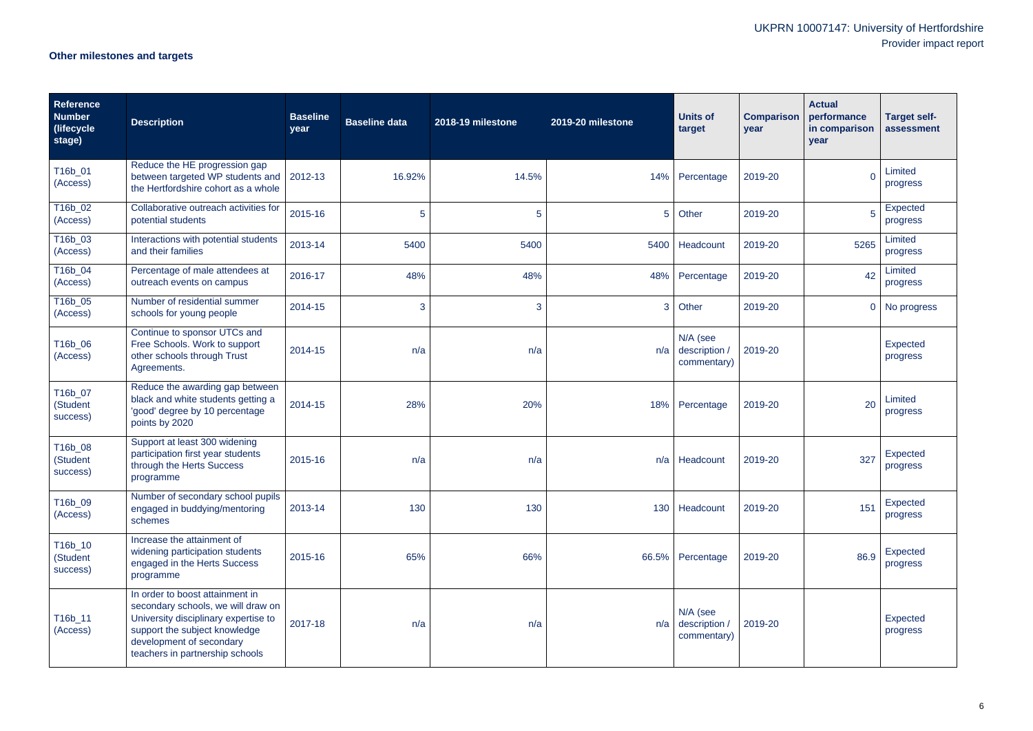# **Other milestones and targets**

| <b>Reference</b><br><b>Number</b><br>(lifecycle<br>stage) | <b>Description</b>                                                                                                                                                                                            | <b>Baseline</b><br>year | <b>Baseline data</b> | 2018-19 milestone | 2019-20 milestone | <b>Units of</b><br>target                      | <b>Comparison</b><br>year | <b>Actual</b><br>performance<br>in comparison<br>year | <b>Target self-</b><br>assessment |
|-----------------------------------------------------------|---------------------------------------------------------------------------------------------------------------------------------------------------------------------------------------------------------------|-------------------------|----------------------|-------------------|-------------------|------------------------------------------------|---------------------------|-------------------------------------------------------|-----------------------------------|
| T16b_01<br>(Access)                                       | Reduce the HE progression gap<br>between targeted WP students and   2012-13<br>the Hertfordshire cohort as a whole                                                                                            |                         | 16.92%               | 14.5%             | 14%               | Percentage                                     | 2019-20                   | $\Omega$                                              | Limited<br>progress               |
| T16b_02<br>(Access)                                       | Collaborative outreach activities for<br>potential students                                                                                                                                                   | 2015-16                 | 5                    | 5 <sup>5</sup>    | 5 <sup>5</sup>    | Other                                          | 2019-20                   | 5                                                     | Expected<br>progress              |
| T16b_03<br>(Access)                                       | Interactions with potential students<br>and their families                                                                                                                                                    | 2013-14                 | 5400                 | 5400              | 5400              | Headcount                                      | 2019-20                   | 5265                                                  | Limited<br>progress               |
| $T16b_04$<br>(Access)                                     | Percentage of male attendees at<br>outreach events on campus                                                                                                                                                  | 2016-17                 | 48%                  | 48%               | 48%               | Percentage                                     | 2019-20                   | 42                                                    | Limited<br>progress               |
| T16b_05<br>(Access)                                       | Number of residential summer<br>schools for young people                                                                                                                                                      | 2014-15                 | 3                    | 3                 | 3                 | Other                                          | 2019-20                   | $\overline{0}$                                        | No progress                       |
| T16b_06<br>(Access)                                       | Continue to sponsor UTCs and<br>Free Schools. Work to support<br>other schools through Trust<br>Agreements.                                                                                                   | 2014-15                 | n/a                  | n/a               | n/a               | N/A (see<br>description /<br>commentary)       | 2019-20                   |                                                       | <b>Expected</b><br>progress       |
| T16b_07<br>(Student<br>success)                           | Reduce the awarding gap between<br>black and white students getting a<br>'good' degree by 10 percentage<br>points by 2020                                                                                     | 2014-15                 | 28%                  | 20%               | 18%               | Percentage                                     | 2019-20                   | 20                                                    | Limited<br>progress               |
| T16b_08<br>(Student<br>success)                           | Support at least 300 widening<br>participation first year students<br>through the Herts Success<br>programme                                                                                                  | 2015-16                 | n/a                  | n/a               | n/a               | Headcount                                      | 2019-20                   | 327                                                   | Expected<br>progress              |
| T16b_09<br>(Access)                                       | Number of secondary school pupils<br>engaged in buddying/mentoring<br>schemes                                                                                                                                 | 2013-14                 | 130                  | 130               |                   | 130 Headcount                                  | 2019-20                   | 151                                                   | Expected<br>progress              |
| T16b_10<br>(Student<br>success)                           | Increase the attainment of<br>widening participation students<br>engaged in the Herts Success<br>programme                                                                                                    | 2015-16                 | 65%                  | 66%               |                   | 66.5% Percentage                               | 2019-20                   | 86.9                                                  | Expected<br>progress              |
| T16b_11<br>(Access)                                       | In order to boost attainment in<br>secondary schools, we will draw on<br>University disciplinary expertise to<br>support the subject knowledge<br>development of secondary<br>teachers in partnership schools | 2017-18                 | n/a                  | n/a               |                   | N/A (see<br>$n/a$ description /<br>commentary) | 2019-20                   |                                                       | Expected<br>progress              |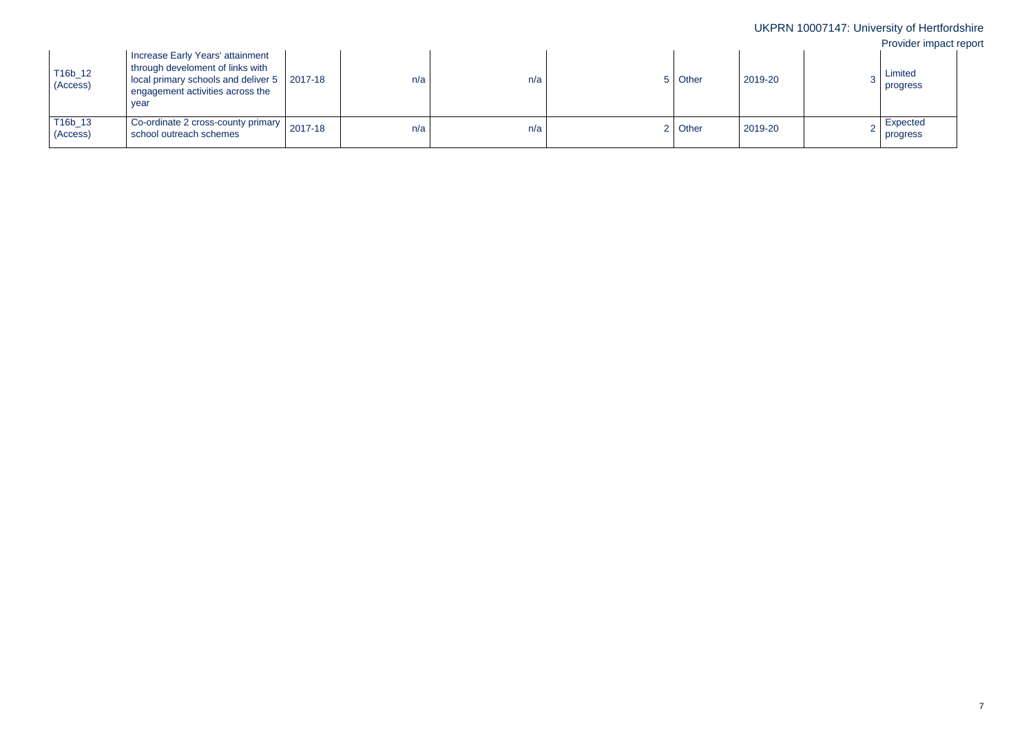| T16b_12<br>(Access) | Increase Early Years' attainment<br>through develoment of links with<br>local primary schools and deliver 5 2017-18<br>engagement activities across the<br>year |         | n/a | n/a | 5 Other | 2019-20 | Limited<br>progress  |
|---------------------|-----------------------------------------------------------------------------------------------------------------------------------------------------------------|---------|-----|-----|---------|---------|----------------------|
| T16b_13<br>(Access) | Co-ordinate 2 cross-county primary<br>school outreach schemes                                                                                                   | 2017-18 | n/a | n/a | 2 Other | 2019-20 | Expected<br>progress |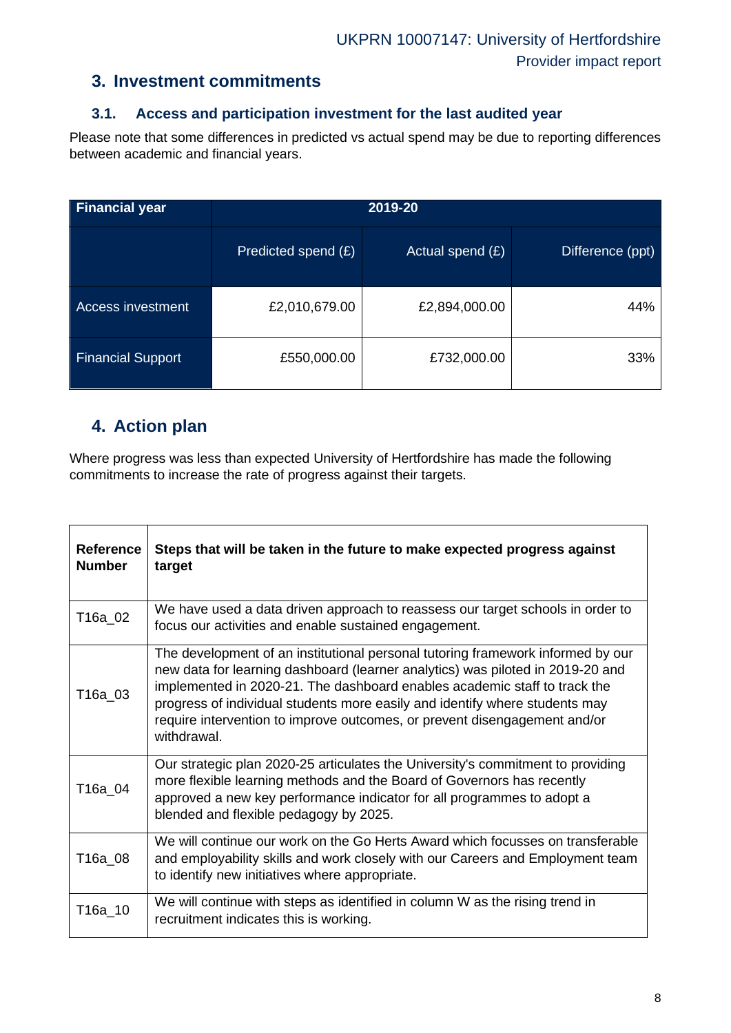## **3. Investment commitments**

## **3.1. Access and participation investment for the last audited year**

Please note that some differences in predicted vs actual spend may be due to reporting differences between academic and financial years.

| <b>Financial year</b>    |                     |                    |                  |
|--------------------------|---------------------|--------------------|------------------|
|                          | Predicted spend (£) | Actual spend $(E)$ | Difference (ppt) |
| <b>Access investment</b> | £2,010,679.00       | £2,894,000.00      | 44%              |
| <b>Financial Support</b> | £550,000.00         | £732,000.00        | 33%              |

## **4. Action plan**

Where progress was less than expected University of Hertfordshire has made the following commitments to increase the rate of progress against their targets.

| <b>Reference</b><br><b>Number</b> | Steps that will be taken in the future to make expected progress against<br>target                                                                                                                                                                                                                                                                                                                                        |
|-----------------------------------|---------------------------------------------------------------------------------------------------------------------------------------------------------------------------------------------------------------------------------------------------------------------------------------------------------------------------------------------------------------------------------------------------------------------------|
| T16a_02                           | We have used a data driven approach to reassess our target schools in order to<br>focus our activities and enable sustained engagement.                                                                                                                                                                                                                                                                                   |
| T16a 03                           | The development of an institutional personal tutoring framework informed by our<br>new data for learning dashboard (learner analytics) was piloted in 2019-20 and<br>implemented in 2020-21. The dashboard enables academic staff to track the<br>progress of individual students more easily and identify where students may<br>require intervention to improve outcomes, or prevent disengagement and/or<br>withdrawal. |
| T16a_04                           | Our strategic plan 2020-25 articulates the University's commitment to providing<br>more flexible learning methods and the Board of Governors has recently<br>approved a new key performance indicator for all programmes to adopt a<br>blended and flexible pedagogy by 2025.                                                                                                                                             |
| T16a 08                           | We will continue our work on the Go Herts Award which focusses on transferable<br>and employability skills and work closely with our Careers and Employment team<br>to identify new initiatives where appropriate.                                                                                                                                                                                                        |
| T16a_10                           | We will continue with steps as identified in column W as the rising trend in<br>recruitment indicates this is working.                                                                                                                                                                                                                                                                                                    |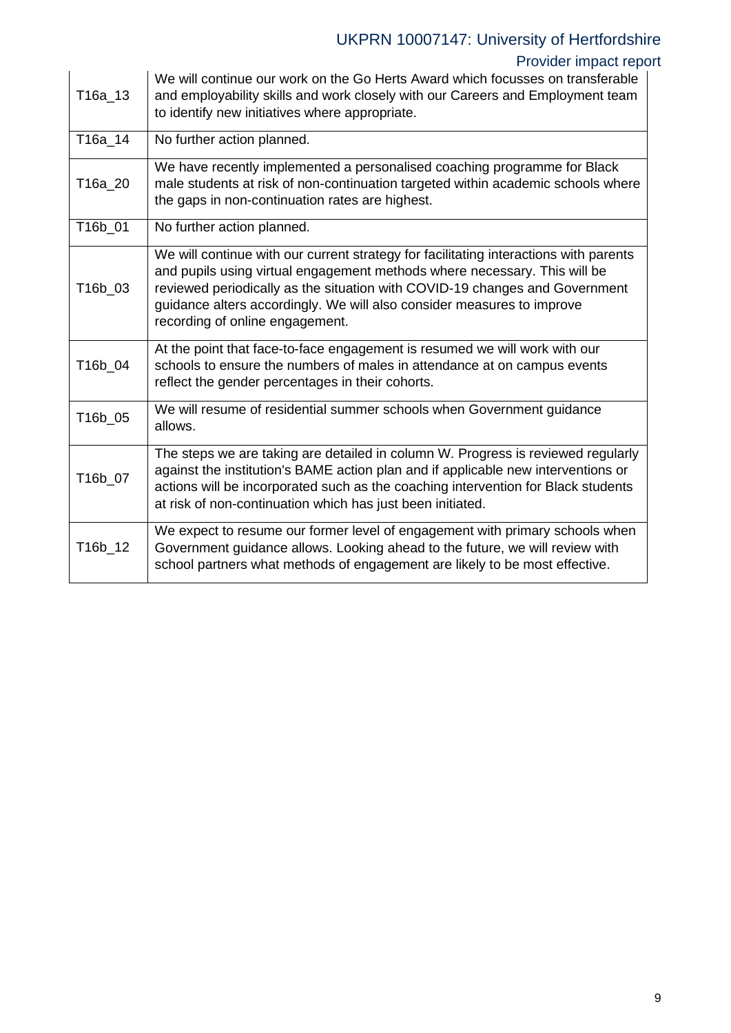# UKPRN 10007147: University of Hertfordshire

## Provider impact report

| T16a_13 | We will continue our work on the Go Herts Award which focusses on transferable<br>and employability skills and work closely with our Careers and Employment team<br>to identify new initiatives where appropriate.                                                                                                                                             |
|---------|----------------------------------------------------------------------------------------------------------------------------------------------------------------------------------------------------------------------------------------------------------------------------------------------------------------------------------------------------------------|
| T16a 14 | No further action planned.                                                                                                                                                                                                                                                                                                                                     |
| T16a_20 | We have recently implemented a personalised coaching programme for Black<br>male students at risk of non-continuation targeted within academic schools where<br>the gaps in non-continuation rates are highest.                                                                                                                                                |
| T16b_01 | No further action planned.                                                                                                                                                                                                                                                                                                                                     |
| T16b_03 | We will continue with our current strategy for facilitating interactions with parents<br>and pupils using virtual engagement methods where necessary. This will be<br>reviewed periodically as the situation with COVID-19 changes and Government<br>guidance alters accordingly. We will also consider measures to improve<br>recording of online engagement. |
| T16b_04 | At the point that face-to-face engagement is resumed we will work with our<br>schools to ensure the numbers of males in attendance at on campus events<br>reflect the gender percentages in their cohorts.                                                                                                                                                     |
| T16b_05 | We will resume of residential summer schools when Government guidance<br>allows.                                                                                                                                                                                                                                                                               |
| T16b_07 | The steps we are taking are detailed in column W. Progress is reviewed regularly<br>against the institution's BAME action plan and if applicable new interventions or<br>actions will be incorporated such as the coaching intervention for Black students<br>at risk of non-continuation which has just been initiated.                                       |
| T16b_12 | We expect to resume our former level of engagement with primary schools when<br>Government guidance allows. Looking ahead to the future, we will review with<br>school partners what methods of engagement are likely to be most effective.                                                                                                                    |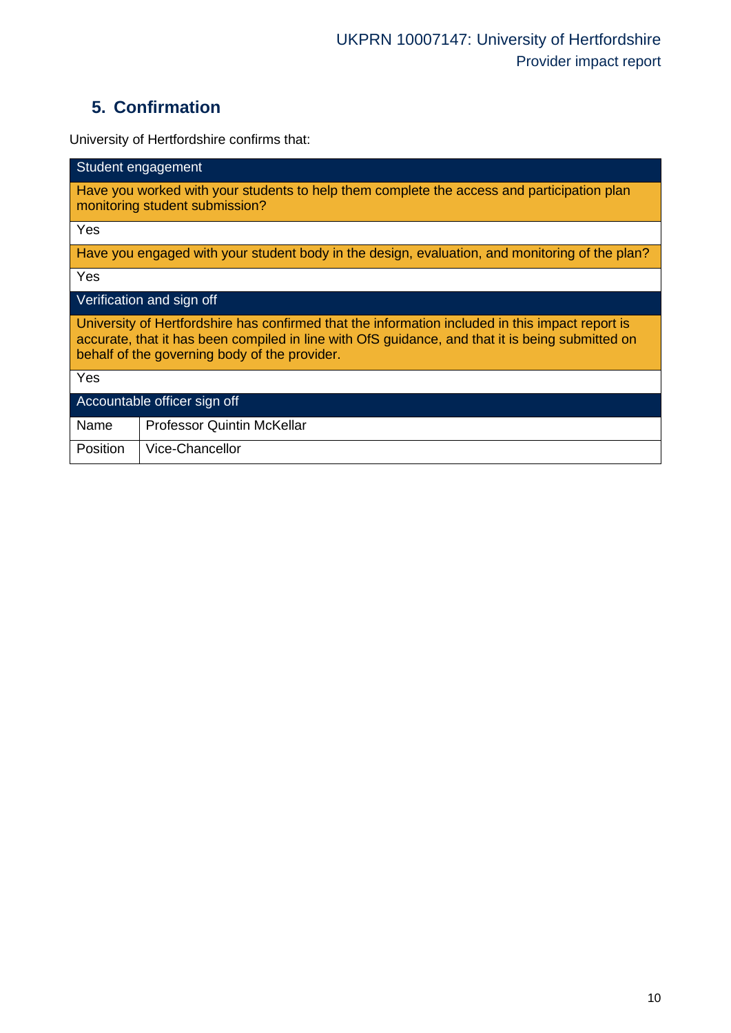# **5. Confirmation**

University of Hertfordshire confirms that:

| Student engagement                                                                                                                                                                                                                                    |  |  |  |  |  |
|-------------------------------------------------------------------------------------------------------------------------------------------------------------------------------------------------------------------------------------------------------|--|--|--|--|--|
| Have you worked with your students to help them complete the access and participation plan<br>monitoring student submission?                                                                                                                          |  |  |  |  |  |
| Yes                                                                                                                                                                                                                                                   |  |  |  |  |  |
| Have you engaged with your student body in the design, evaluation, and monitoring of the plan?                                                                                                                                                        |  |  |  |  |  |
| Yes                                                                                                                                                                                                                                                   |  |  |  |  |  |
| Verification and sign off                                                                                                                                                                                                                             |  |  |  |  |  |
| University of Hertfordshire has confirmed that the information included in this impact report is<br>accurate, that it has been compiled in line with OfS guidance, and that it is being submitted on<br>behalf of the governing body of the provider. |  |  |  |  |  |
| Yes                                                                                                                                                                                                                                                   |  |  |  |  |  |
| Accountable officer sign off                                                                                                                                                                                                                          |  |  |  |  |  |
| <b>Professor Quintin McKellar</b><br>Name                                                                                                                                                                                                             |  |  |  |  |  |
| Vice-Chancellor<br><b>Position</b>                                                                                                                                                                                                                    |  |  |  |  |  |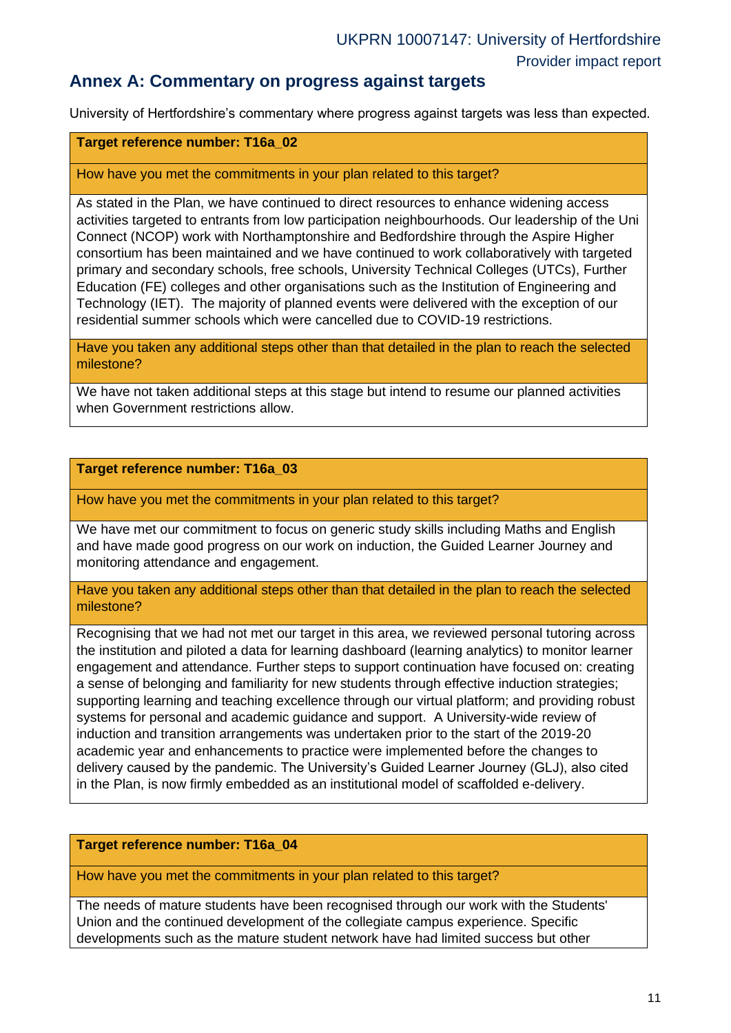## **Annex A: Commentary on progress against targets**

University of Hertfordshire's commentary where progress against targets was less than expected.

### **Target reference number: T16a\_02**

#### How have you met the commitments in your plan related to this target?

As stated in the Plan, we have continued to direct resources to enhance widening access activities targeted to entrants from low participation neighbourhoods. Our leadership of the Uni Connect (NCOP) work with Northamptonshire and Bedfordshire through the Aspire Higher consortium has been maintained and we have continued to work collaboratively with targeted primary and secondary schools, free schools, University Technical Colleges (UTCs), Further Education (FE) colleges and other organisations such as the Institution of Engineering and Technology (IET). The majority of planned events were delivered with the exception of our residential summer schools which were cancelled due to COVID-19 restrictions.

Have you taken any additional steps other than that detailed in the plan to reach the selected milestone?

We have not taken additional steps at this stage but intend to resume our planned activities when Government restrictions allow.

#### **Target reference number: T16a\_03**

How have you met the commitments in your plan related to this target?

We have met our commitment to focus on generic study skills including Maths and English and have made good progress on our work on induction, the Guided Learner Journey and monitoring attendance and engagement.

Have you taken any additional steps other than that detailed in the plan to reach the selected milestone?

Recognising that we had not met our target in this area, we reviewed personal tutoring across the institution and piloted a data for learning dashboard (learning analytics) to monitor learner engagement and attendance. Further steps to support continuation have focused on: creating a sense of belonging and familiarity for new students through effective induction strategies; supporting learning and teaching excellence through our virtual platform; and providing robust systems for personal and academic guidance and support. A University-wide review of induction and transition arrangements was undertaken prior to the start of the 2019-20 academic year and enhancements to practice were implemented before the changes to delivery caused by the pandemic. The University's Guided Learner Journey (GLJ), also cited in the Plan, is now firmly embedded as an institutional model of scaffolded e-delivery.

#### **Target reference number: T16a\_04**

How have you met the commitments in your plan related to this target?

The needs of mature students have been recognised through our work with the Students' Union and the continued development of the collegiate campus experience. Specific developments such as the mature student network have had limited success but other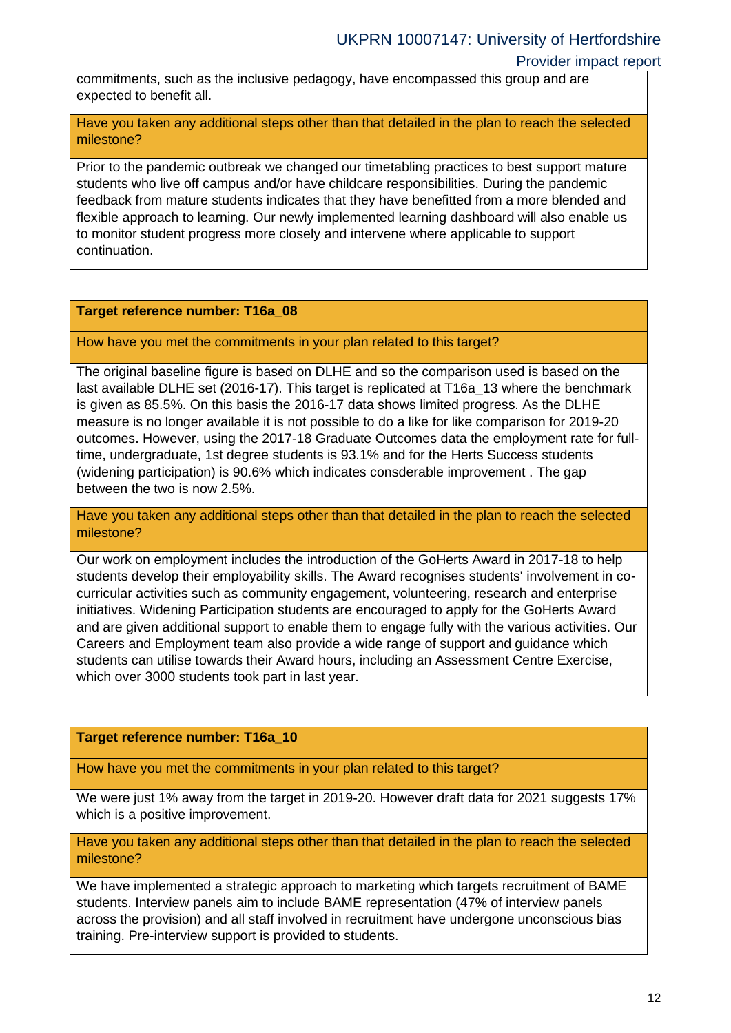### Provider impact report

commitments, such as the inclusive pedagogy, have encompassed this group and are expected to benefit all.

Have you taken any additional steps other than that detailed in the plan to reach the selected milestone?

Prior to the pandemic outbreak we changed our timetabling practices to best support mature students who live off campus and/or have childcare responsibilities. During the pandemic feedback from mature students indicates that they have benefitted from a more blended and flexible approach to learning. Our newly implemented learning dashboard will also enable us to monitor student progress more closely and intervene where applicable to support continuation.

### **Target reference number: T16a\_08**

How have you met the commitments in your plan related to this target?

The original baseline figure is based on DLHE and so the comparison used is based on the last available DLHE set (2016-17). This target is replicated at T16a\_13 where the benchmark is given as 85.5%. On this basis the 2016-17 data shows limited progress. As the DLHE measure is no longer available it is not possible to do a like for like comparison for 2019-20 outcomes. However, using the 2017-18 Graduate Outcomes data the employment rate for fulltime, undergraduate, 1st degree students is 93.1% and for the Herts Success students (widening participation) is 90.6% which indicates consderable improvement . The gap between the two is now 2.5%.

Have you taken any additional steps other than that detailed in the plan to reach the selected milestone?

Our work on employment includes the introduction of the GoHerts Award in 2017-18 to help students develop their employability skills. The Award recognises students' involvement in cocurricular activities such as community engagement, volunteering, research and enterprise initiatives. Widening Participation students are encouraged to apply for the GoHerts Award and are given additional support to enable them to engage fully with the various activities. Our Careers and Employment team also provide a wide range of support and guidance which students can utilise towards their Award hours, including an Assessment Centre Exercise, which over 3000 students took part in last year.

### **Target reference number: T16a\_10**

How have you met the commitments in your plan related to this target?

We were just 1% away from the target in 2019-20. However draft data for 2021 suggests 17% which is a positive improvement.

Have you taken any additional steps other than that detailed in the plan to reach the selected milestone?

We have implemented a strategic approach to marketing which targets recruitment of BAME students. Interview panels aim to include BAME representation (47% of interview panels across the provision) and all staff involved in recruitment have undergone unconscious bias training. Pre-interview support is provided to students.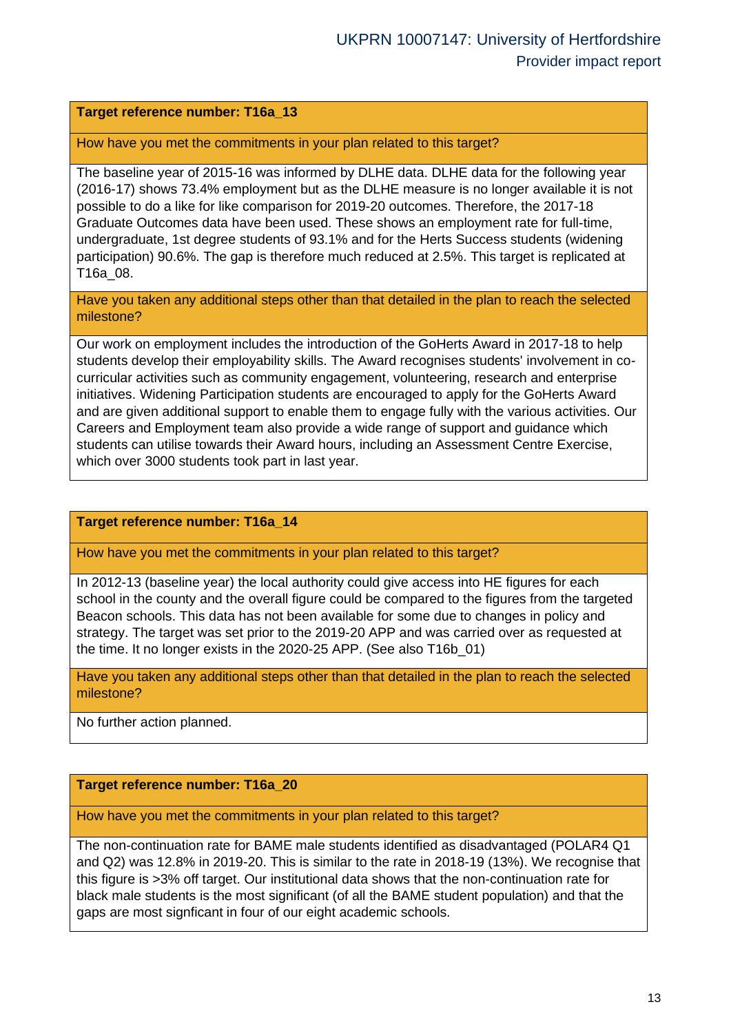### **Target reference number: T16a\_13**

How have you met the commitments in your plan related to this target?

The baseline year of 2015-16 was informed by DLHE data. DLHE data for the following year (2016-17) shows 73.4% employment but as the DLHE measure is no longer available it is not possible to do a like for like comparison for 2019-20 outcomes. Therefore, the 2017-18 Graduate Outcomes data have been used. These shows an employment rate for full-time, undergraduate, 1st degree students of 93.1% and for the Herts Success students (widening participation) 90.6%. The gap is therefore much reduced at 2.5%. This target is replicated at T16a\_08.

Have you taken any additional steps other than that detailed in the plan to reach the selected milestone?

Our work on employment includes the introduction of the GoHerts Award in 2017-18 to help students develop their employability skills. The Award recognises students' involvement in cocurricular activities such as community engagement, volunteering, research and enterprise initiatives. Widening Participation students are encouraged to apply for the GoHerts Award and are given additional support to enable them to engage fully with the various activities. Our Careers and Employment team also provide a wide range of support and guidance which students can utilise towards their Award hours, including an Assessment Centre Exercise, which over 3000 students took part in last year.

### **Target reference number: T16a\_14**

How have you met the commitments in your plan related to this target?

In 2012-13 (baseline year) the local authority could give access into HE figures for each school in the county and the overall figure could be compared to the figures from the targeted Beacon schools. This data has not been available for some due to changes in policy and strategy. The target was set prior to the 2019-20 APP and was carried over as requested at the time. It no longer exists in the 2020-25 APP. (See also T16b\_01)

Have you taken any additional steps other than that detailed in the plan to reach the selected milestone?

No further action planned.

### **Target reference number: T16a\_20**

How have you met the commitments in your plan related to this target?

The non-continuation rate for BAME male students identified as disadvantaged (POLAR4 Q1 and Q2) was 12.8% in 2019-20. This is similar to the rate in 2018-19 (13%). We recognise that this figure is >3% off target. Our institutional data shows that the non-continuation rate for black male students is the most significant (of all the BAME student population) and that the gaps are most signficant in four of our eight academic schools.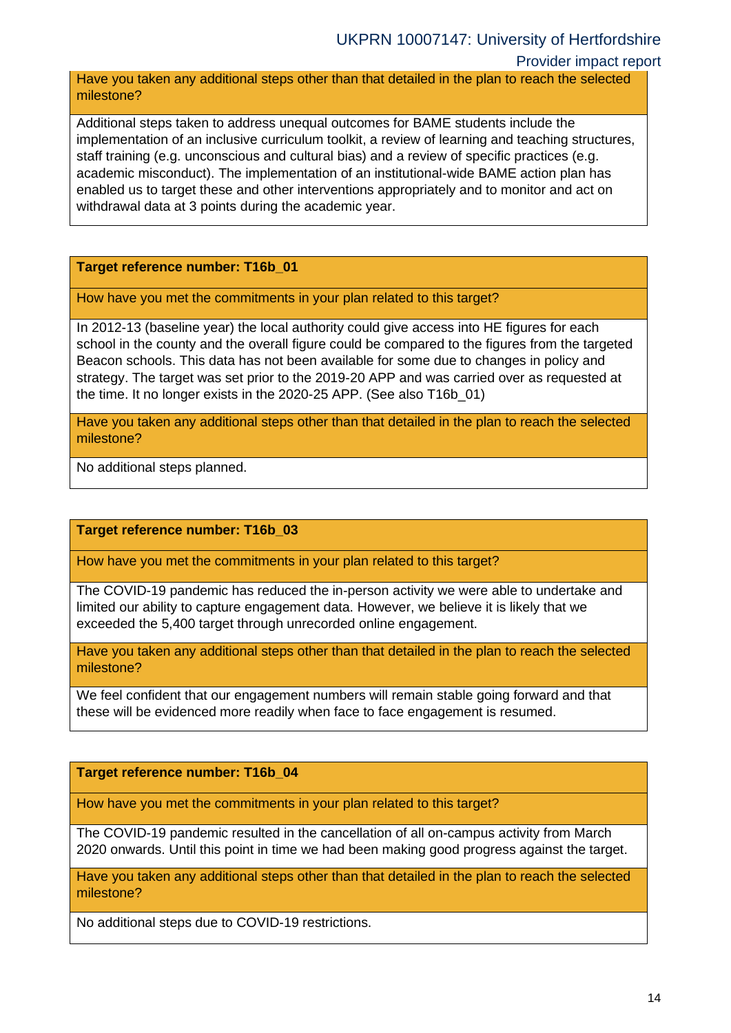### Provider impact report

Have you taken any additional steps other than that detailed in the plan to reach the selected milestone?

Additional steps taken to address unequal outcomes for BAME students include the implementation of an inclusive curriculum toolkit, a review of learning and teaching structures, staff training (e.g. unconscious and cultural bias) and a review of specific practices (e.g. academic misconduct). The implementation of an institutional-wide BAME action plan has enabled us to target these and other interventions appropriately and to monitor and act on withdrawal data at 3 points during the academic year.

**Target reference number: T16b\_01**

How have you met the commitments in your plan related to this target?

In 2012-13 (baseline year) the local authority could give access into HE figures for each school in the county and the overall figure could be compared to the figures from the targeted Beacon schools. This data has not been available for some due to changes in policy and strategy. The target was set prior to the 2019-20 APP and was carried over as requested at the time. It no longer exists in the 2020-25 APP. (See also T16b\_01)

Have you taken any additional steps other than that detailed in the plan to reach the selected milestone?

No additional steps planned.

**Target reference number: T16b\_03**

How have you met the commitments in your plan related to this target?

The COVID-19 pandemic has reduced the in-person activity we were able to undertake and limited our ability to capture engagement data. However, we believe it is likely that we exceeded the 5,400 target through unrecorded online engagement.

Have you taken any additional steps other than that detailed in the plan to reach the selected milestone?

We feel confident that our engagement numbers will remain stable going forward and that these will be evidenced more readily when face to face engagement is resumed.

**Target reference number: T16b\_04**

How have you met the commitments in your plan related to this target?

The COVID-19 pandemic resulted in the cancellation of all on-campus activity from March 2020 onwards. Until this point in time we had been making good progress against the target.

Have you taken any additional steps other than that detailed in the plan to reach the selected milestone?

No additional steps due to COVID-19 restrictions.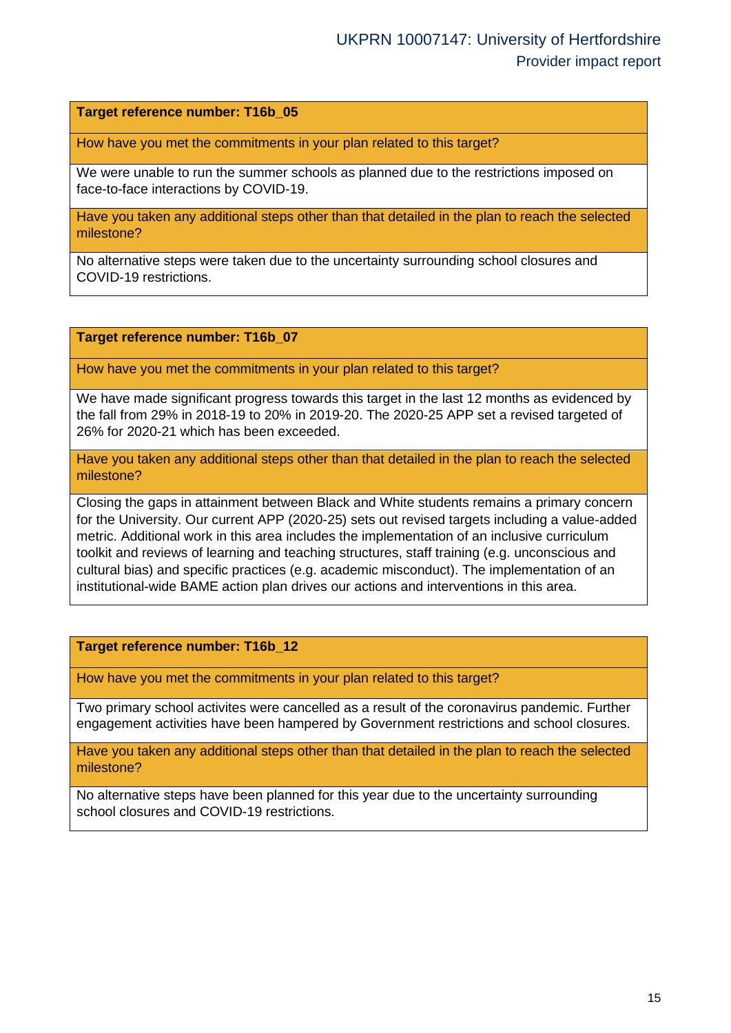**Target reference number: T16b\_05**

How have you met the commitments in your plan related to this target?

We were unable to run the summer schools as planned due to the restrictions imposed on face-to-face interactions by COVID-19.

Have you taken any additional steps other than that detailed in the plan to reach the selected milestone?

No alternative steps were taken due to the uncertainty surrounding school closures and COVID-19 restrictions.

#### **Target reference number: T16b\_07**

How have you met the commitments in your plan related to this target?

We have made significant progress towards this target in the last 12 months as evidenced by the fall from 29% in 2018-19 to 20% in 2019-20. The 2020-25 APP set a revised targeted of 26% for 2020-21 which has been exceeded.

Have you taken any additional steps other than that detailed in the plan to reach the selected milestone?

Closing the gaps in attainment between Black and White students remains a primary concern for the University. Our current APP (2020-25) sets out revised targets including a value-added metric. Additional work in this area includes the implementation of an inclusive curriculum toolkit and reviews of learning and teaching structures, staff training (e.g. unconscious and cultural bias) and specific practices (e.g. academic misconduct). The implementation of an institutional-wide BAME action plan drives our actions and interventions in this area.

#### **Target reference number: T16b\_12**

How have you met the commitments in your plan related to this target?

Two primary school activites were cancelled as a result of the coronavirus pandemic. Further engagement activities have been hampered by Government restrictions and school closures.

Have you taken any additional steps other than that detailed in the plan to reach the selected milestone?

No alternative steps have been planned for this year due to the uncertainty surrounding school closures and COVID-19 restrictions.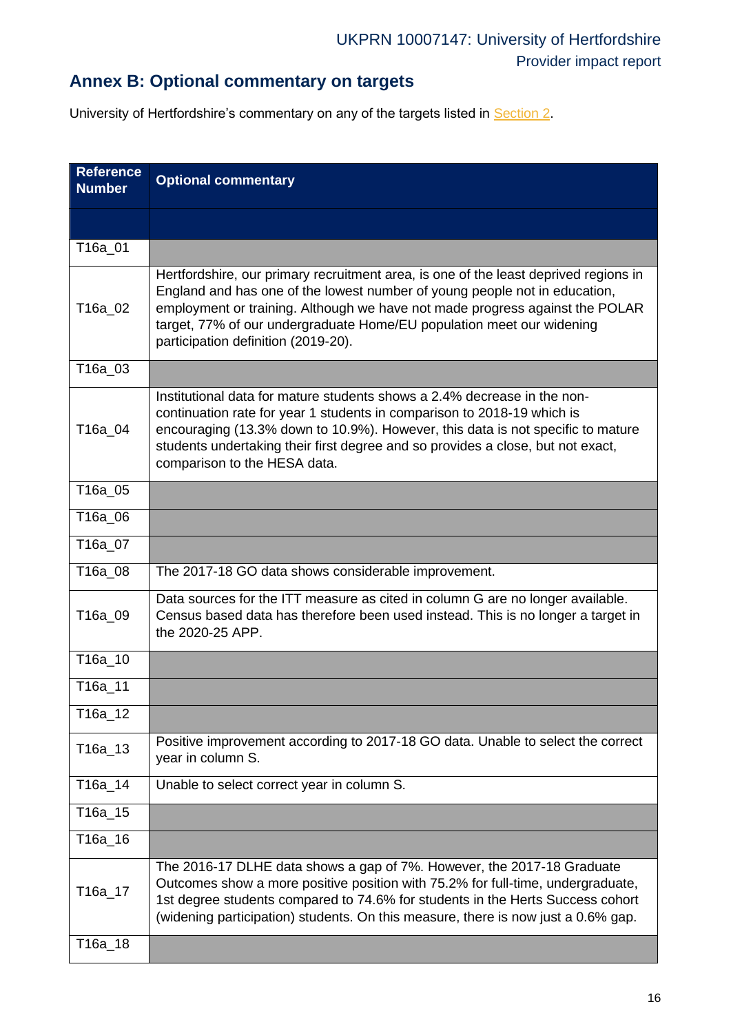# **Annex B: Optional commentary on targets**

University of Hertfordshire's commentary on any of the targets listed in [Section 2.](#page-2-0)

<span id="page-15-0"></span>

| <b>Reference</b><br><b>Number</b> | <b>Optional commentary</b>                                                                                                                                                                                                                                                                                                                                         |
|-----------------------------------|--------------------------------------------------------------------------------------------------------------------------------------------------------------------------------------------------------------------------------------------------------------------------------------------------------------------------------------------------------------------|
|                                   |                                                                                                                                                                                                                                                                                                                                                                    |
| T16a_01                           |                                                                                                                                                                                                                                                                                                                                                                    |
| T16a_02                           | Hertfordshire, our primary recruitment area, is one of the least deprived regions in<br>England and has one of the lowest number of young people not in education,<br>employment or training. Although we have not made progress against the POLAR<br>target, 77% of our undergraduate Home/EU population meet our widening<br>participation definition (2019-20). |
| T16a_03                           |                                                                                                                                                                                                                                                                                                                                                                    |
| T16a_04                           | Institutional data for mature students shows a 2.4% decrease in the non-<br>continuation rate for year 1 students in comparison to 2018-19 which is<br>encouraging (13.3% down to 10.9%). However, this data is not specific to mature<br>students undertaking their first degree and so provides a close, but not exact,<br>comparison to the HESA data.          |
| T16a_05                           |                                                                                                                                                                                                                                                                                                                                                                    |
| T16a_06                           |                                                                                                                                                                                                                                                                                                                                                                    |
| T16a_07                           |                                                                                                                                                                                                                                                                                                                                                                    |
| T16a_08                           | The 2017-18 GO data shows considerable improvement.                                                                                                                                                                                                                                                                                                                |
| T16a_09                           | Data sources for the ITT measure as cited in column G are no longer available.<br>Census based data has therefore been used instead. This is no longer a target in<br>the 2020-25 APP.                                                                                                                                                                             |
| T16a 10                           |                                                                                                                                                                                                                                                                                                                                                                    |
| T16a_11                           |                                                                                                                                                                                                                                                                                                                                                                    |
| T16a_12                           |                                                                                                                                                                                                                                                                                                                                                                    |
| T16a_13                           | Positive improvement according to 2017-18 GO data. Unable to select the correct<br>year in column S.                                                                                                                                                                                                                                                               |
| T16a_14                           | Unable to select correct year in column S.                                                                                                                                                                                                                                                                                                                         |
| T16a_15                           |                                                                                                                                                                                                                                                                                                                                                                    |
| T16a 16                           |                                                                                                                                                                                                                                                                                                                                                                    |
| T16a_17                           | The 2016-17 DLHE data shows a gap of 7%. However, the 2017-18 Graduate<br>Outcomes show a more positive position with 75.2% for full-time, undergraduate,<br>1st degree students compared to 74.6% for students in the Herts Success cohort<br>(widening participation) students. On this measure, there is now just a 0.6% gap.                                   |
| T16a_18                           |                                                                                                                                                                                                                                                                                                                                                                    |